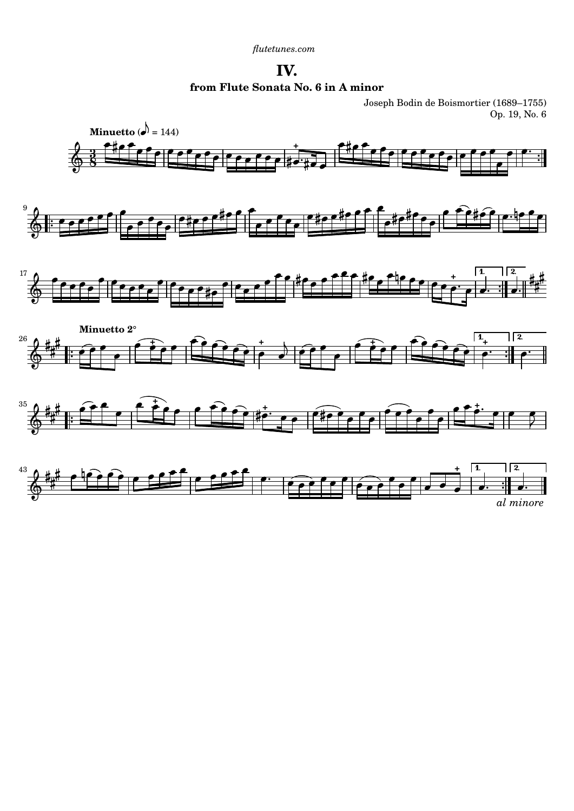**IV. from Flute Sonata No. 6 in A minor**

Joseph Bodin de Boismortier (1689–1755) Op. 19, No. 6